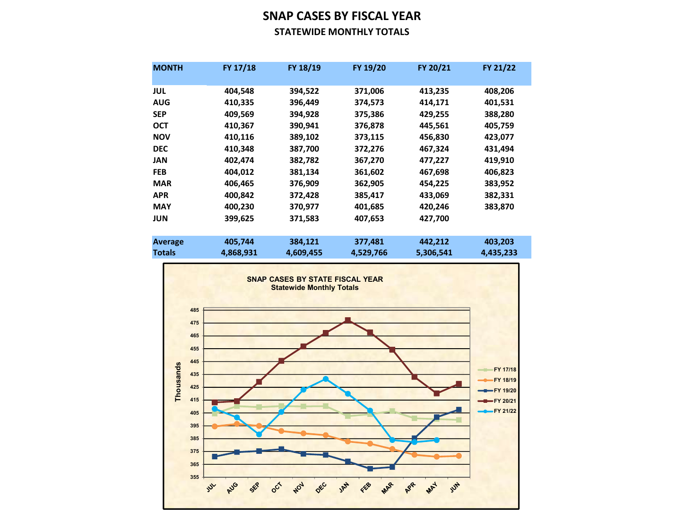## SNAP CASES BY FISCAL YEAR STATEWIDE MONTHLY TOTALS

| <b>MONTH</b>   | FY 17/18  | FY 18/19  | FY 19/20  | FY 20/21  | FY 21/22  |
|----------------|-----------|-----------|-----------|-----------|-----------|
| JUL            | 404,548   | 394,522   | 371,006   | 413,235   | 408,206   |
| <b>AUG</b>     | 410,335   | 396,449   | 374,573   | 414,171   | 401,531   |
| <b>SEP</b>     | 409,569   | 394,928   | 375,386   | 429,255   | 388,280   |
| <b>OCT</b>     | 410,367   | 390,941   | 376,878   | 445,561   | 405,759   |
| <b>NOV</b>     | 410,116   | 389,102   | 373,115   | 456,830   | 423,077   |
| <b>DEC</b>     | 410,348   | 387,700   | 372,276   | 467,324   | 431,494   |
| JAN            | 402,474   | 382,782   | 367,270   | 477,227   | 419,910   |
| <b>FEB</b>     | 404,012   | 381,134   | 361,602   | 467,698   | 406,823   |
| <b>MAR</b>     | 406,465   | 376,909   | 362,905   | 454,225   | 383,952   |
| <b>APR</b>     | 400,842   | 372,428   | 385,417   | 433,069   | 382,331   |
| <b>MAY</b>     | 400,230   | 370,977   | 401,685   | 420,246   | 383,870   |
| <b>JUN</b>     | 399,625   | 371,583   | 407,653   | 427,700   |           |
|                |           |           |           |           |           |
| <b>Average</b> | 405,744   | 384,121   | 377,481   | 442,212   | 403,203   |
| <b>Totals</b>  | 4,868,931 | 4,609,455 | 4,529,766 | 5,306,541 | 4,435,233 |